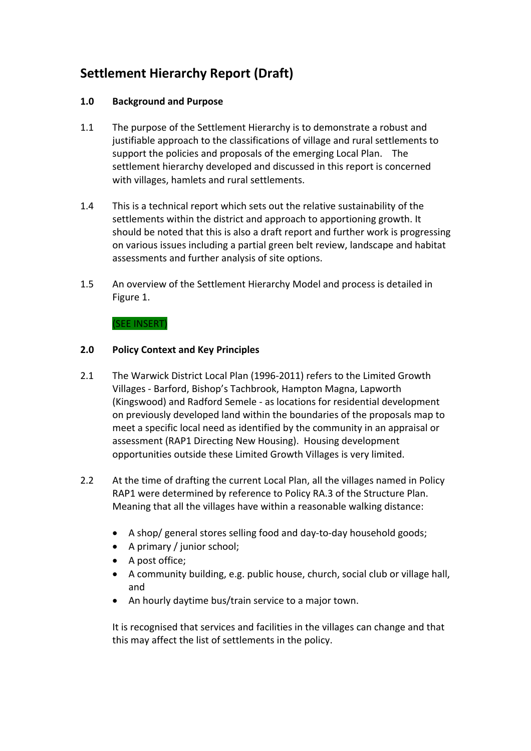# **Settlement Hierarchy Report (Draft)**

## **1.0 Background and Purpose**

- 1.1 The purpose of the Settlement Hierarchy is to demonstrate a robust and justifiable approach to the classifications of village and rural settlements to support the policies and proposals of the emerging Local Plan. The settlement hierarchy developed and discussed in this report is concerned with villages, hamlets and rural settlements.
- 1.4 This is a technical report which sets out the relative sustainability of the settlements within the district and approach to apportioning growth. It should be noted that this is also a draft report and further work is progressing on various issues including a partial green belt review, landscape and habitat assessments and further analysis of site options.
- 1.5 An overview of the Settlement Hierarchy Model and process is detailed in Figure 1.

#### (SEE INSERT)

## **2.0 Policy Context and Key Principles**

- 2.1 The Warwick District Local Plan (1996-2011) refers to the Limited Growth Villages ‐ Barford, Bishop's Tachbrook, Hampton Magna, Lapworth (Kingswood) and Radford Semele ‐ as locations for residential development on previously developed land within the boundaries of the proposals map to meet a specific local need as identified by the community in an appraisal or assessment (RAP1 Directing New Housing). Housing development opportunities outside these Limited Growth Villages is very limited.
- 2.2 At the time of drafting the current Local Plan, all the villages named in Policy RAP1 were determined by reference to Policy RA.3 of the Structure Plan. Meaning that all the villages have within a reasonable walking distance:
	- A shop/ general stores selling food and day‐to‐day household goods;
	- A primary / junior school;
	- A post office;
	- A community building, e.g. public house, church, social club or village hall, and
	- An hourly daytime bus/train service to a major town.

It is recognised that services and facilities in the villages can change and that this may affect the list of settlements in the policy.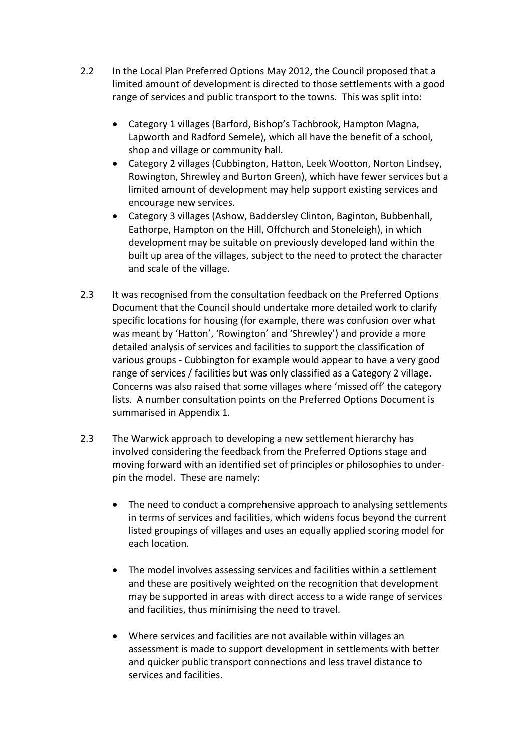- 2.2 In the Local Plan Preferred Options May 2012, the Council proposed that a limited amount of development is directed to those settlements with a good range of services and public transport to the towns. This was split into:
	- Category 1 villages (Barford, Bishop's Tachbrook, Hampton Magna, Lapworth and Radford Semele), which all have the benefit of a school, shop and village or community hall.
	- Category 2 villages (Cubbington, Hatton, Leek Wootton, Norton Lindsey, Rowington, Shrewley and Burton Green), which have fewer services but a limited amount of development may help support existing services and encourage new services.
	- Category 3 villages (Ashow, Baddersley Clinton, Baginton, Bubbenhall, Eathorpe, Hampton on the Hill, Offchurch and Stoneleigh), in which development may be suitable on previously developed land within the built up area of the villages, subject to the need to protect the character and scale of the village.
- 2.3 It was recognised from the consultation feedback on the Preferred Options Document that the Council should undertake more detailed work to clarify specific locations for housing (for example, there was confusion over what was meant by 'Hatton', 'Rowington' and 'Shrewley') and provide a more detailed analysis of services and facilities to support the classification of various groups ‐ Cubbington for example would appear to have a very good range of services / facilities but was only classified as a Category 2 village. Concerns was also raised that some villages where 'missed off' the category lists. A number consultation points on the Preferred Options Document is summarised in Appendix 1.
- 2.3 The Warwick approach to developing a new settlement hierarchy has involved considering the feedback from the Preferred Options stage and moving forward with an identified set of principles or philosophies to under‐ pin the model. These are namely:
	- The need to conduct a comprehensive approach to analysing settlements in terms of services and facilities, which widens focus beyond the current listed groupings of villages and uses an equally applied scoring model for each location.
	- The model involves assessing services and facilities within a settlement and these are positively weighted on the recognition that development may be supported in areas with direct access to a wide range of services and facilities, thus minimising the need to travel.
	- Where services and facilities are not available within villages an assessment is made to support development in settlements with better and quicker public transport connections and less travel distance to services and facilities.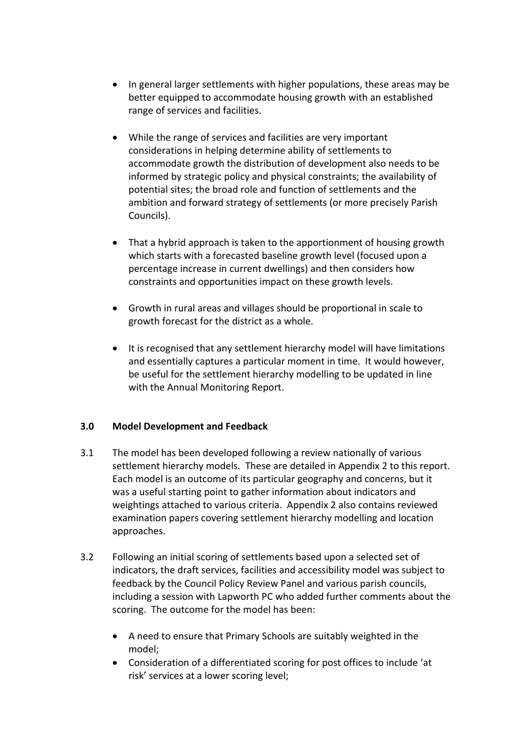- In general larger settlements with higher populations, these areas may be better equipped to accommodate housing growth with an established range of services and facilities.
- While the range of services and facilities are very important considerations in helping determine ability of settlements to accommodate growth the distribution of development also needs to be informed by strategic policy and physical constraints; the availability of potential sites; the broad role and function of settlements and the ambition and forward strategy of settlements (or more precisely Parish Councils).
- That a hybrid approach is taken to the apportionment of housing growth which starts with a forecasted baseline growth level (focused upon a percentage increase in current dwellings) and then considers how constraints and opportunities impact on these growth levels.
- Growth in rural areas and villages should be proportional in scale to growth forecast for the district as a whole.
- It is recognised that any settlement hierarchy model will have limitations and essentially captures a particular moment in time. It would however, be useful for the settlement hierarchy modelling to be updated in line with the Annual Monitoring Report.

# **3.0 Model Development and Feedback**

- 3.1 The model has been developed following a review nationally of various settlement hierarchy models. These are detailed in Appendix 2 to this report. Each model is an outcome of its particular geography and concerns, but it was a useful starting point to gather information about indicators and weightings attached to various criteria. Appendix 2 also contains reviewed examination papers covering settlement hierarchy modelling and location approaches.
- 3.2 Following an initial scoring of settlements based upon a selected set of indicators, the draft services, facilities and accessibility model was subject to feedback by the Council Policy Review Panel and various parish councils, including a session with Lapworth PC who added further comments about the scoring. The outcome for the model has been:
	- A need to ensure that Primary Schools are suitably weighted in the model;
	- Consideration of a differentiated scoring for post offices to include 'at risk' services at a lower scoring level;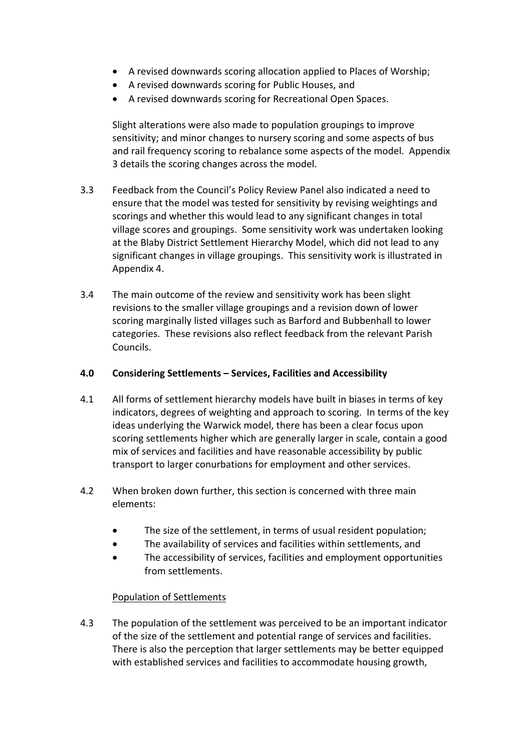- A revised downwards scoring allocation applied to Places of Worship;
- A revised downwards scoring for Public Houses, and
- A revised downwards scoring for Recreational Open Spaces.

Slight alterations were also made to population groupings to improve sensitivity; and minor changes to nursery scoring and some aspects of bus and rail frequency scoring to rebalance some aspects of the model. Appendix 3 details the scoring changes across the model.

- 3.3 Feedback from the Council's Policy Review Panel also indicated a need to ensure that the model was tested for sensitivity by revising weightings and scorings and whether this would lead to any significant changes in total village scores and groupings. Some sensitivity work was undertaken looking at the Blaby District Settlement Hierarchy Model, which did not lead to any significant changes in village groupings. This sensitivity work is illustrated in Appendix 4.
- 3.4 The main outcome of the review and sensitivity work has been slight revisions to the smaller village groupings and a revision down of lower scoring marginally listed villages such as Barford and Bubbenhall to lower categories. These revisions also reflect feedback from the relevant Parish Councils.

## **4.0 Considering Settlements – Services, Facilities and Accessibility**

- 4.1 All forms of settlement hierarchy models have built in biases in terms of key indicators, degrees of weighting and approach to scoring. In terms of the key ideas underlying the Warwick model, there has been a clear focus upon scoring settlements higher which are generally larger in scale, contain a good mix of services and facilities and have reasonable accessibility by public transport to larger conurbations for employment and other services.
- 4.2 When broken down further, this section is concerned with three main elements:
	- The size of the settlement, in terms of usual resident population;
	- The availability of services and facilities within settlements, and
	- The accessibility of services, facilities and employment opportunities from settlements.

#### Population of Settlements

4.3 The population of the settlement was perceived to be an important indicator of the size of the settlement and potential range of services and facilities. There is also the perception that larger settlements may be better equipped with established services and facilities to accommodate housing growth,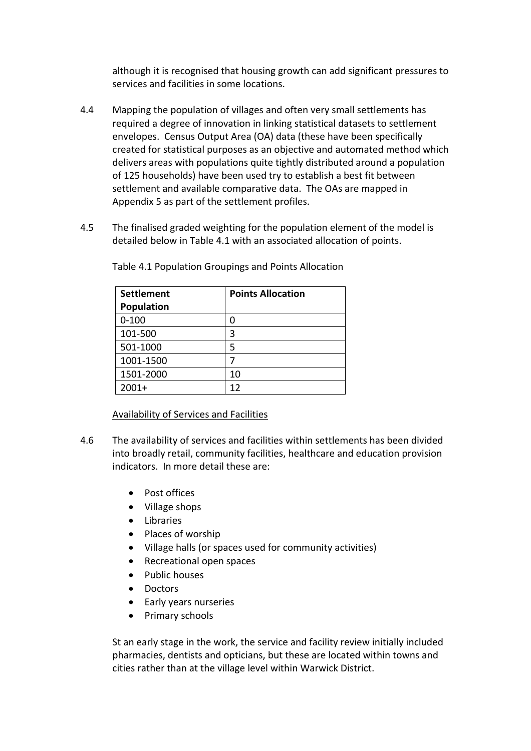although it is recognised that housing growth can add significant pressures to services and facilities in some locations.

- 4.4 Mapping the population of villages and often very small settlements has required a degree of innovation in linking statistical datasets to settlement envelopes. Census Output Area (OA) data (these have been specifically created for statistical purposes as an objective and automated method which delivers areas with populations quite tightly distributed around a population of 125 households) have been used try to establish a best fit between settlement and available comparative data. The OAs are mapped in Appendix 5 as part of the settlement profiles.
- 4.5 The finalised graded weighting for the population element of the model is detailed below in Table 4.1 with an associated allocation of points.

| <b>Settlement</b> | <b>Points Allocation</b> |
|-------------------|--------------------------|
| Population        |                          |
| $0 - 100$         | 0                        |
| 101-500           | 3                        |
| 501-1000          | 5                        |
| 1001-1500         |                          |
| 1501-2000         | 10                       |
| $2001+$           | 12                       |

Table 4.1 Population Groupings and Points Allocation

# Availability of Services and Facilities

- 4.6 The availability of services and facilities within settlements has been divided into broadly retail, community facilities, healthcare and education provision indicators. In more detail these are:
	- Post offices
	- Village shops
	- **•** Libraries
	- Places of worship
	- Village halls (or spaces used for community activities)
	- Recreational open spaces
	- Public houses
	- Doctors
	- Early years nurseries
	- Primary schools

St an early stage in the work, the service and facility review initially included pharmacies, dentists and opticians, but these are located within towns and cities rather than at the village level within Warwick District.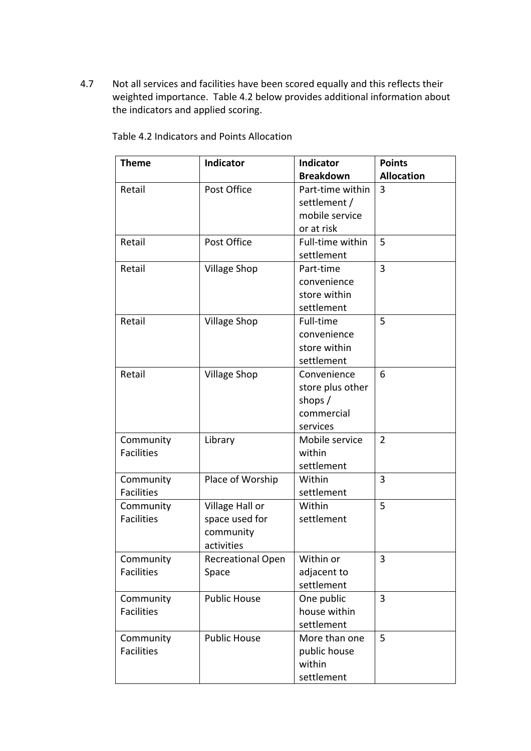4.7 Not all services and facilities have been scored equally and this reflects their weighted importance. Table 4.2 below provides additional information about the indicators and applied scoring.

| <b>Theme</b>      | Indicator                | <b>Indicator</b> | <b>Points</b>     |
|-------------------|--------------------------|------------------|-------------------|
|                   |                          | <b>Breakdown</b> | <b>Allocation</b> |
| Retail            | Post Office              | Part-time within | 3                 |
|                   |                          | settlement /     |                   |
|                   |                          | mobile service   |                   |
|                   |                          | or at risk       |                   |
| Retail            | Post Office              | Full-time within | 5                 |
|                   |                          | settlement       |                   |
| Retail            | <b>Village Shop</b>      | Part-time        | 3                 |
|                   |                          | convenience      |                   |
|                   |                          | store within     |                   |
|                   |                          | settlement       |                   |
| Retail            | <b>Village Shop</b>      | Full-time        | 5                 |
|                   |                          | convenience      |                   |
|                   |                          | store within     |                   |
|                   |                          | settlement       |                   |
| Retail            | <b>Village Shop</b>      | Convenience      | 6                 |
|                   |                          | store plus other |                   |
|                   |                          | shops $/$        |                   |
|                   |                          | commercial       |                   |
|                   |                          | services         |                   |
| Community         | Library                  | Mobile service   | $\overline{2}$    |
| <b>Facilities</b> |                          | within           |                   |
|                   |                          | settlement       |                   |
| Community         | Place of Worship         | Within           | 3                 |
| <b>Facilities</b> |                          | settlement       |                   |
| Community         | Village Hall or          | Within           | 5                 |
| <b>Facilities</b> | space used for           | settlement       |                   |
|                   | community                |                  |                   |
|                   | activities               |                  |                   |
| Community         | <b>Recreational Open</b> | Within or        | 3                 |
| <b>Facilities</b> | Space                    | adjacent to      |                   |
|                   |                          | settlement       |                   |
| Community         | <b>Public House</b>      | One public       | 3                 |
| <b>Facilities</b> |                          | house within     |                   |
|                   |                          | settlement       |                   |
| Community         | <b>Public House</b>      | More than one    | 5                 |
| <b>Facilities</b> |                          | public house     |                   |
|                   |                          | within           |                   |
|                   |                          | settlement       |                   |

Table 4.2 Indicators and Points Allocation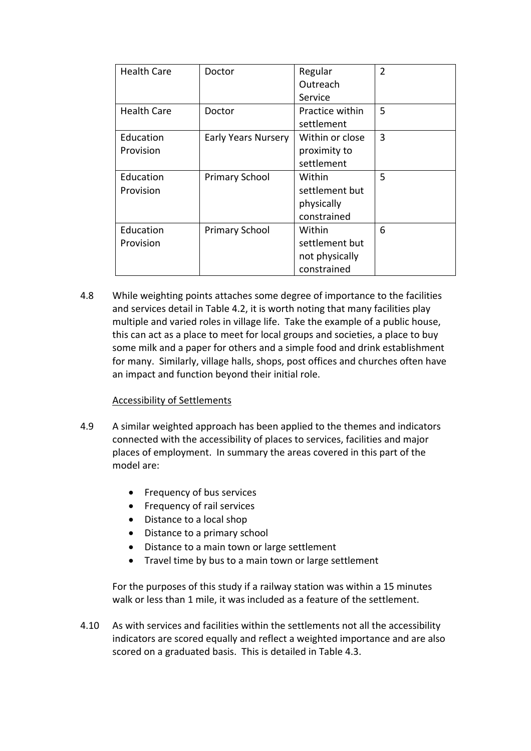| <b>Health Care</b> | Doctor                     | Regular         | $\overline{2}$ |
|--------------------|----------------------------|-----------------|----------------|
|                    |                            | Outreach        |                |
|                    |                            | Service         |                |
| <b>Health Care</b> | Doctor                     | Practice within | 5              |
|                    |                            | settlement      |                |
| Education          | <b>Early Years Nursery</b> | Within or close | 3              |
| Provision          |                            | proximity to    |                |
|                    |                            | settlement      |                |
| Education          | <b>Primary School</b>      | Within          | 5              |
| Provision          |                            | settlement but  |                |
|                    |                            | physically      |                |
|                    |                            | constrained     |                |
| Education          | <b>Primary School</b>      | Within          | 6              |
| Provision          |                            | settlement but  |                |
|                    |                            | not physically  |                |
|                    |                            | constrained     |                |

4.8 While weighting points attaches some degree of importance to the facilities and services detail in Table 4.2, it is worth noting that many facilities play multiple and varied roles in village life. Take the example of a public house, this can act as a place to meet for local groups and societies, a place to buy some milk and a paper for others and a simple food and drink establishment for many. Similarly, village halls, shops, post offices and churches often have an impact and function beyond their initial role.

#### Accessibility of Settlements

- 4.9 A similar weighted approach has been applied to the themes and indicators connected with the accessibility of places to services, facilities and major places of employment. In summary the areas covered in this part of the model are:
	- Frequency of bus services
	- Frequency of rail services
	- Distance to a local shop
	- Distance to a primary school
	- Distance to a main town or large settlement
	- Travel time by bus to a main town or large settlement

For the purposes of this study if a railway station was within a 15 minutes walk or less than 1 mile, it was included as a feature of the settlement.

4.10 As with services and facilities within the settlements not all the accessibility indicators are scored equally and reflect a weighted importance and are also scored on a graduated basis. This is detailed in Table 4.3.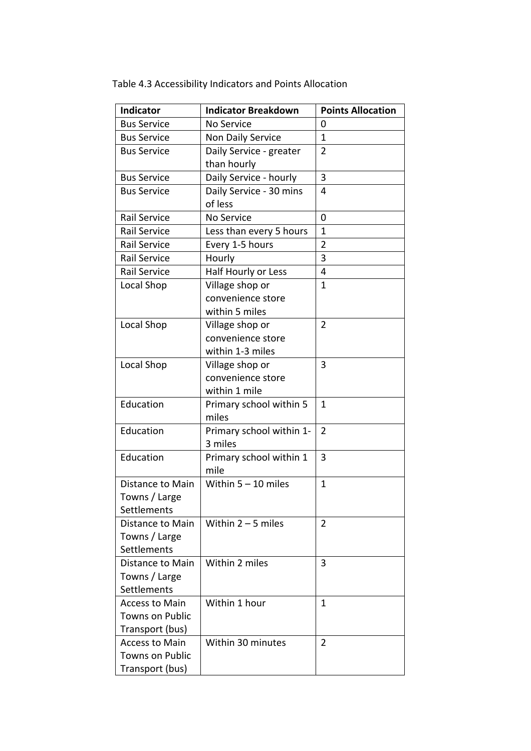| <b>Indicator</b>       | <b>Indicator Breakdown</b>                | <b>Points Allocation</b> |
|------------------------|-------------------------------------------|--------------------------|
| <b>Bus Service</b>     | No Service                                | 0                        |
| <b>Bus Service</b>     | Non Daily Service                         | 1                        |
| <b>Bus Service</b>     | $\overline{2}$<br>Daily Service - greater |                          |
|                        | than hourly                               |                          |
| <b>Bus Service</b>     | Daily Service - hourly                    | 3                        |
| <b>Bus Service</b>     | Daily Service - 30 mins                   | 4                        |
|                        | of less                                   |                          |
| Rail Service           | No Service                                | 0                        |
| Rail Service           | Less than every 5 hours                   | $\mathbf{1}$             |
| Rail Service           | Every 1-5 hours                           | 2                        |
| Rail Service           | Hourly                                    | 3                        |
| Rail Service           | Half Hourly or Less                       | 4                        |
| Local Shop             | Village shop or                           | $\mathbf{1}$             |
|                        | convenience store                         |                          |
|                        | within 5 miles                            |                          |
| Local Shop             | Village shop or                           | $\overline{2}$           |
|                        | convenience store                         |                          |
|                        | within 1-3 miles                          |                          |
| Local Shop             | Village shop or                           | 3                        |
|                        | convenience store                         |                          |
|                        | within 1 mile                             |                          |
| Education              | Primary school within 5                   | 1                        |
|                        | miles                                     |                          |
| Education              | Primary school within 1-                  | $\overline{2}$           |
|                        | 3 miles                                   |                          |
| Education              | Primary school within 1                   | 3                        |
|                        | mile                                      |                          |
| Distance to Main       | Within $5 - 10$ miles                     | $\mathbf{1}$             |
| Towns / Large          |                                           |                          |
| Settlements            |                                           |                          |
| Distance to Main       | Within $2 - 5$ miles                      | $\overline{2}$           |
| Towns / Large          |                                           |                          |
| Settlements            |                                           |                          |
| Distance to Main       | Within 2 miles                            | 3                        |
| Towns / Large          |                                           |                          |
| Settlements            |                                           |                          |
| <b>Access to Main</b>  | Within 1 hour                             | 1                        |
| <b>Towns on Public</b> |                                           |                          |
| Transport (bus)        |                                           |                          |
| <b>Access to Main</b>  | Within 30 minutes<br>$\overline{2}$       |                          |
| <b>Towns on Public</b> |                                           |                          |
| Transport (bus)        |                                           |                          |

Table 4.3 Accessibility Indicators and Points Allocation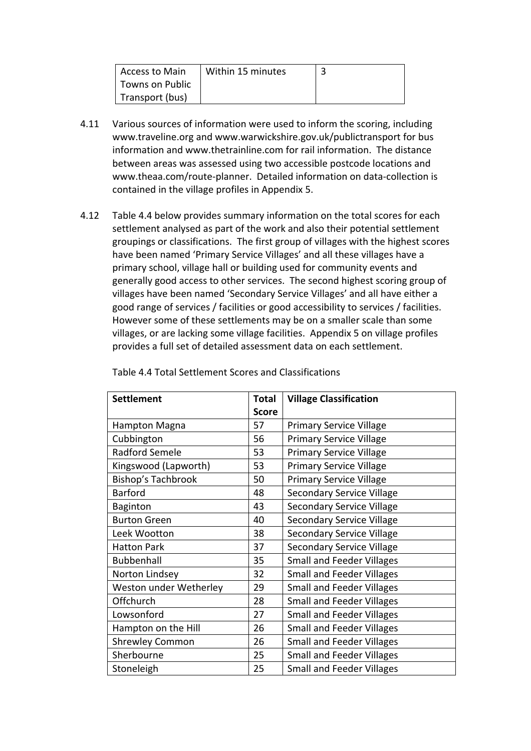| Access to Main  | Within 15 minutes |  |
|-----------------|-------------------|--|
| Towns on Public |                   |  |
| Transport (bus) |                   |  |

- 4.11 Various sources of information were used to inform the scoring, including www.traveline.org and www.warwickshire.gov.uk/publictransport for bus information and www.thetrainline.com for rail information. The distance between areas was assessed using two accessible postcode locations and www.theaa.com/route‐planner. Detailed information on data‐collection is contained in the village profiles in Appendix 5.
- 4.12 Table 4.4 below provides summary information on the total scores for each settlement analysed as part of the work and also their potential settlement groupings or classifications. The first group of villages with the highest scores have been named 'Primary Service Villages' and all these villages have a primary school, village hall or building used for community events and generally good access to other services. The second highest scoring group of villages have been named 'Secondary Service Villages' and all have either a good range of services / facilities or good accessibility to services / facilities. However some of these settlements may be on a smaller scale than some villages, or are lacking some village facilities. Appendix 5 on village profiles provides a full set of detailed assessment data on each settlement.

| <b>Settlement</b>      | Total        | <b>Village Classification</b>    |  |
|------------------------|--------------|----------------------------------|--|
|                        | <b>Score</b> |                                  |  |
| Hampton Magna          | 57           | <b>Primary Service Village</b>   |  |
| Cubbington             | 56           | <b>Primary Service Village</b>   |  |
| <b>Radford Semele</b>  | 53           | <b>Primary Service Village</b>   |  |
| Kingswood (Lapworth)   | 53           | <b>Primary Service Village</b>   |  |
| Bishop's Tachbrook     | 50           | <b>Primary Service Village</b>   |  |
| <b>Barford</b>         | 48           | <b>Secondary Service Village</b> |  |
| Baginton               | 43           | <b>Secondary Service Village</b> |  |
| <b>Burton Green</b>    | 40           | <b>Secondary Service Village</b> |  |
| Leek Wootton           | 38           | <b>Secondary Service Village</b> |  |
| <b>Hatton Park</b>     | 37           | <b>Secondary Service Village</b> |  |
| <b>Bubbenhall</b>      | 35           | <b>Small and Feeder Villages</b> |  |
| Norton Lindsey         | 32           | <b>Small and Feeder Villages</b> |  |
| Weston under Wetherley | 29           | <b>Small and Feeder Villages</b> |  |
| Offchurch              | 28           | <b>Small and Feeder Villages</b> |  |
| Lowsonford             | 27           | <b>Small and Feeder Villages</b> |  |
| Hampton on the Hill    | 26           | <b>Small and Feeder Villages</b> |  |
| <b>Shrewley Common</b> | 26           | <b>Small and Feeder Villages</b> |  |
| Sherbourne             | 25           | <b>Small and Feeder Villages</b> |  |
| Stoneleigh             | 25           | <b>Small and Feeder Villages</b> |  |

Table 4.4 Total Settlement Scores and Classifications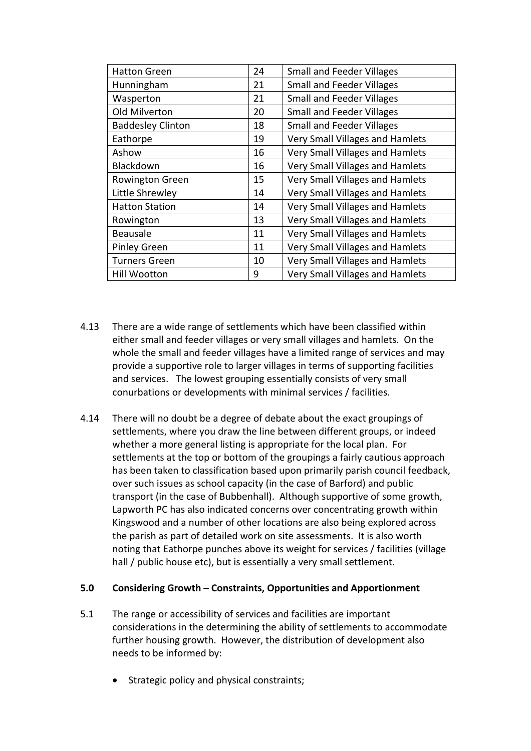| <b>Hatton Green</b>      | 24 | <b>Small and Feeder Villages</b>       |
|--------------------------|----|----------------------------------------|
| Hunningham               | 21 | <b>Small and Feeder Villages</b>       |
| Wasperton                | 21 | <b>Small and Feeder Villages</b>       |
| Old Milverton            | 20 | <b>Small and Feeder Villages</b>       |
| <b>Baddesley Clinton</b> | 18 | <b>Small and Feeder Villages</b>       |
| Eathorpe                 | 19 | <b>Very Small Villages and Hamlets</b> |
| Ashow                    | 16 | <b>Very Small Villages and Hamlets</b> |
| Blackdown                | 16 | <b>Very Small Villages and Hamlets</b> |
| Rowington Green          | 15 | <b>Very Small Villages and Hamlets</b> |
| Little Shrewley          | 14 | <b>Very Small Villages and Hamlets</b> |
| <b>Hatton Station</b>    | 14 | <b>Very Small Villages and Hamlets</b> |
| Rowington                | 13 | Very Small Villages and Hamlets        |
| <b>Beausale</b>          | 11 | <b>Very Small Villages and Hamlets</b> |
| <b>Pinley Green</b>      | 11 | <b>Very Small Villages and Hamlets</b> |
| <b>Turners Green</b>     | 10 | <b>Very Small Villages and Hamlets</b> |
| Hill Wootton             | 9  | <b>Very Small Villages and Hamlets</b> |

- 4.13 There are a wide range of settlements which have been classified within either small and feeder villages or very small villages and hamlets. On the whole the small and feeder villages have a limited range of services and may provide a supportive role to larger villages in terms of supporting facilities and services. The lowest grouping essentially consists of very small conurbations or developments with minimal services / facilities.
- 4.14 There will no doubt be a degree of debate about the exact groupings of settlements, where you draw the line between different groups, or indeed whether a more general listing is appropriate for the local plan. For settlements at the top or bottom of the groupings a fairly cautious approach has been taken to classification based upon primarily parish council feedback, over such issues as school capacity (in the case of Barford) and public transport (in the case of Bubbenhall). Although supportive of some growth, Lapworth PC has also indicated concerns over concentrating growth within Kingswood and a number of other locations are also being explored across the parish as part of detailed work on site assessments. It is also worth noting that Eathorpe punches above its weight for services / facilities (village hall / public house etc), but is essentially a very small settlement.

#### **5.0 Considering Growth – Constraints, Opportunities and Apportionment**

- 5.1 The range or accessibility of services and facilities are important considerations in the determining the ability of settlements to accommodate further housing growth. However, the distribution of development also needs to be informed by:
	- Strategic policy and physical constraints;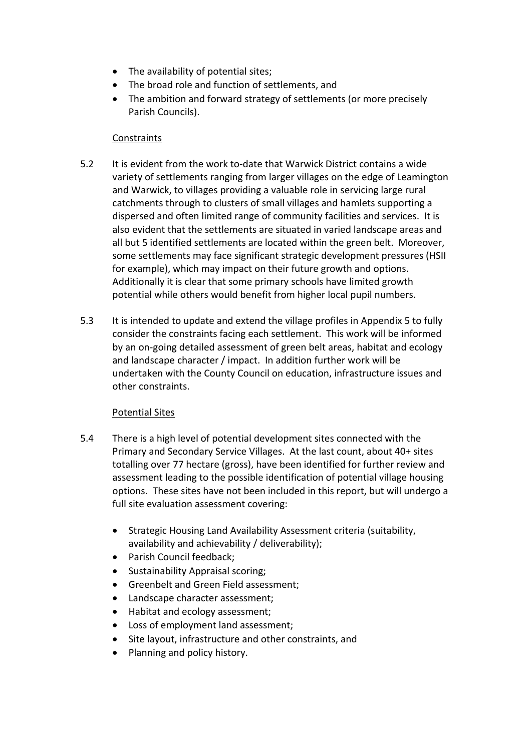- The availability of potential sites;
- The broad role and function of settlements, and
- The ambition and forward strategy of settlements (or more precisely Parish Councils).

## **Constraints**

- 5.2 It is evident from the work to‐date that Warwick District contains a wide variety of settlements ranging from larger villages on the edge of Leamington and Warwick, to villages providing a valuable role in servicing large rural catchments through to clusters of small villages and hamlets supporting a dispersed and often limited range of community facilities and services. It is also evident that the settlements are situated in varied landscape areas and all but 5 identified settlements are located within the green belt. Moreover, some settlements may face significant strategic development pressures (HSII for example), which may impact on their future growth and options. Additionally it is clear that some primary schools have limited growth potential while others would benefit from higher local pupil numbers.
- 5.3 It is intended to update and extend the village profiles in Appendix 5 to fully consider the constraints facing each settlement. This work will be informed by an on‐going detailed assessment of green belt areas, habitat and ecology and landscape character / impact. In addition further work will be undertaken with the County Council on education, infrastructure issues and other constraints.

# Potential Sites

- 5.4 There is a high level of potential development sites connected with the Primary and Secondary Service Villages. At the last count, about 40+ sites totalling over 77 hectare (gross), have been identified for further review and assessment leading to the possible identification of potential village housing options. These sites have not been included in this report, but will undergo a full site evaluation assessment covering:
	- Strategic Housing Land Availability Assessment criteria (suitability, availability and achievability / deliverability);
	- Parish Council feedback;
	- Sustainability Appraisal scoring;
	- Greenbelt and Green Field assessment;
	- Landscape character assessment;
	- Habitat and ecology assessment;
	- Loss of employment land assessment;
	- Site layout, infrastructure and other constraints, and
	- Planning and policy history.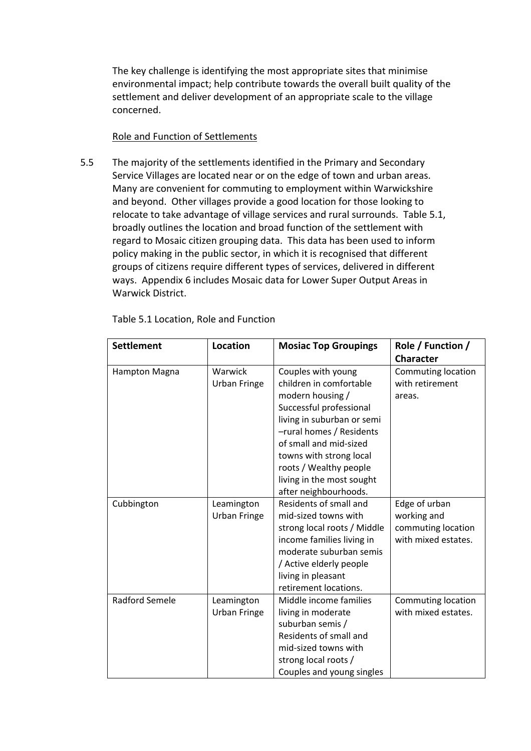The key challenge is identifying the most appropriate sites that minimise environmental impact; help contribute towards the overall built quality of the settlement and deliver development of an appropriate scale to the village concerned.

#### Role and Function of Settlements

5.5 The majority of the settlements identified in the Primary and Secondary Service Villages are located near or on the edge of town and urban areas. Many are convenient for commuting to employment within Warwickshire and beyond. Other villages provide a good location for those looking to relocate to take advantage of village services and rural surrounds. Table 5.1, broadly outlines the location and broad function of the settlement with regard to Mosaic citizen grouping data. This data has been used to inform policy making in the public sector, in which it is recognised that different groups of citizens require different types of services, delivered in different ways. Appendix 6 includes Mosaic data for Lower Super Output Areas in Warwick District.

| <b>Settlement</b>     | <b>Location</b>     | <b>Mosiac Top Groupings</b>                   | Role / Function /         |
|-----------------------|---------------------|-----------------------------------------------|---------------------------|
|                       |                     |                                               | <b>Character</b>          |
| Hampton Magna         | Warwick             | Couples with young                            | Commuting location        |
|                       | <b>Urban Fringe</b> | children in comfortable<br>modern housing /   | with retirement<br>areas. |
|                       |                     | Successful professional                       |                           |
|                       |                     | living in suburban or semi                    |                           |
|                       |                     | -rural homes / Residents                      |                           |
|                       |                     | of small and mid-sized                        |                           |
|                       |                     | towns with strong local                       |                           |
|                       |                     | roots / Wealthy people                        |                           |
|                       |                     | living in the most sought                     |                           |
|                       |                     | after neighbourhoods.                         |                           |
| Cubbington            | Leamington          | Residents of small and                        | Edge of urban             |
|                       | <b>Urban Fringe</b> | mid-sized towns with                          | working and               |
|                       |                     | strong local roots / Middle                   | commuting location        |
|                       |                     | income families living in                     | with mixed estates.       |
|                       |                     | moderate suburban semis                       |                           |
|                       |                     | / Active elderly people<br>living in pleasant |                           |
|                       |                     | retirement locations.                         |                           |
| <b>Radford Semele</b> | Leamington          | Middle income families                        | Commuting location        |
|                       | <b>Urban Fringe</b> | living in moderate                            | with mixed estates.       |
|                       |                     | suburban semis /                              |                           |
|                       |                     | Residents of small and                        |                           |
|                       |                     | mid-sized towns with                          |                           |
|                       |                     | strong local roots /                          |                           |
|                       |                     | Couples and young singles                     |                           |

Table 5.1 Location, Role and Function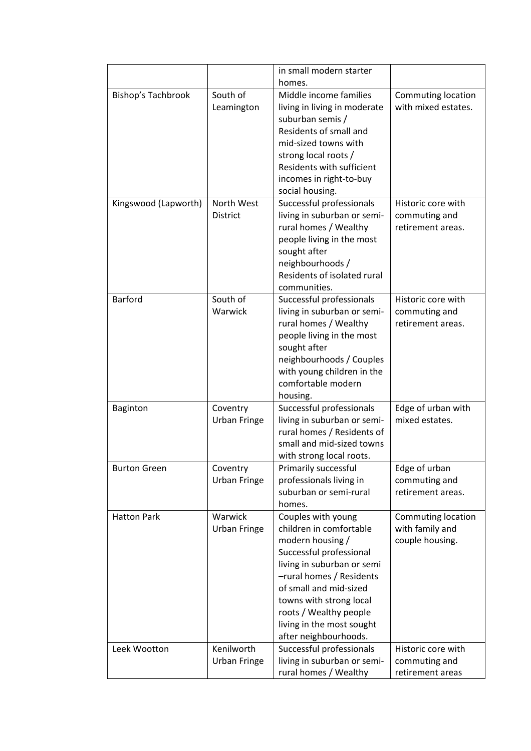|                      |                     | in small modern starter      |                     |
|----------------------|---------------------|------------------------------|---------------------|
|                      |                     | homes.                       |                     |
| Bishop's Tachbrook   | South of            | Middle income families       | Commuting location  |
|                      | Leamington          | living in living in moderate | with mixed estates. |
|                      |                     | suburban semis /             |                     |
|                      |                     | Residents of small and       |                     |
|                      |                     | mid-sized towns with         |                     |
|                      |                     | strong local roots /         |                     |
|                      |                     | Residents with sufficient    |                     |
|                      |                     | incomes in right-to-buy      |                     |
|                      |                     | social housing.              |                     |
| Kingswood (Lapworth) | North West          | Successful professionals     | Historic core with  |
|                      | <b>District</b>     | living in suburban or semi-  | commuting and       |
|                      |                     | rural homes / Wealthy        | retirement areas.   |
|                      |                     | people living in the most    |                     |
|                      |                     | sought after                 |                     |
|                      |                     | neighbourhoods /             |                     |
|                      |                     | Residents of isolated rural  |                     |
|                      |                     | communities.                 |                     |
| <b>Barford</b>       | South of            | Successful professionals     | Historic core with  |
|                      | Warwick             | living in suburban or semi-  | commuting and       |
|                      |                     | rural homes / Wealthy        | retirement areas.   |
|                      |                     | people living in the most    |                     |
|                      |                     | sought after                 |                     |
|                      |                     | neighbourhoods / Couples     |                     |
|                      |                     | with young children in the   |                     |
|                      |                     | comfortable modern           |                     |
|                      |                     | housing.                     |                     |
| <b>Baginton</b>      | Coventry            | Successful professionals     | Edge of urban with  |
|                      | <b>Urban Fringe</b> | living in suburban or semi-  | mixed estates.      |
|                      |                     | rural homes / Residents of   |                     |
|                      |                     | small and mid-sized towns    |                     |
|                      |                     | with strong local roots.     |                     |
| <b>Burton Green</b>  | Coventry            | Primarily successful         | Edge of urban       |
|                      | <b>Urban Fringe</b> | professionals living in      | commuting and       |
|                      |                     | suburban or semi-rural       | retirement areas.   |
|                      |                     | homes.                       |                     |
| <b>Hatton Park</b>   | Warwick             | Couples with young           | Commuting location  |
|                      | <b>Urban Fringe</b> | children in comfortable      | with family and     |
|                      |                     | modern housing /             | couple housing.     |
|                      |                     | Successful professional      |                     |
|                      |                     | living in suburban or semi   |                     |
|                      |                     | -rural homes / Residents     |                     |
|                      |                     | of small and mid-sized       |                     |
|                      |                     | towns with strong local      |                     |
|                      |                     | roots / Wealthy people       |                     |
|                      |                     | living in the most sought    |                     |
|                      |                     | after neighbourhoods.        |                     |
| Leek Wootton         | Kenilworth          | Successful professionals     | Historic core with  |
|                      | <b>Urban Fringe</b> | living in suburban or semi-  | commuting and       |
|                      |                     | rural homes / Wealthy        | retirement areas    |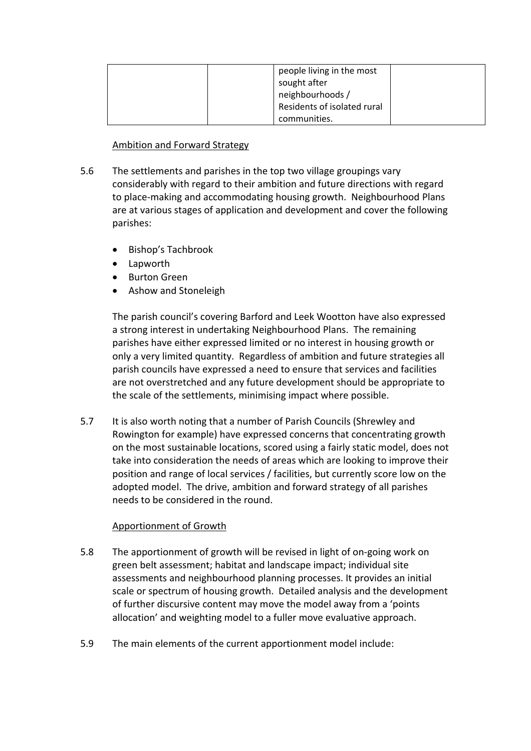| people living in the most<br>sought after<br>neighbourhoods / |
|---------------------------------------------------------------|
| Residents of isolated rural                                   |
| communities.                                                  |

## Ambition and Forward Strategy

- 5.6 The settlements and parishes in the top two village groupings vary considerably with regard to their ambition and future directions with regard to place‐making and accommodating housing growth. Neighbourhood Plans are at various stages of application and development and cover the following parishes:
	- Bishop's Tachbrook
	- Lapworth
	- Burton Green
	- Ashow and Stoneleigh

The parish council's covering Barford and Leek Wootton have also expressed a strong interest in undertaking Neighbourhood Plans. The remaining parishes have either expressed limited or no interest in housing growth or only a very limited quantity. Regardless of ambition and future strategies all parish councils have expressed a need to ensure that services and facilities are not overstretched and any future development should be appropriate to the scale of the settlements, minimising impact where possible.

5.7 It is also worth noting that a number of Parish Councils (Shrewley and Rowington for example) have expressed concerns that concentrating growth on the most sustainable locations, scored using a fairly static model, does not take into consideration the needs of areas which are looking to improve their position and range of local services / facilities, but currently score low on the adopted model. The drive, ambition and forward strategy of all parishes needs to be considered in the round.

# Apportionment of Growth

- 5.8 The apportionment of growth will be revised in light of on‐going work on green belt assessment; habitat and landscape impact; individual site assessments and neighbourhood planning processes. It provides an initial scale or spectrum of housing growth. Detailed analysis and the development of further discursive content may move the model away from a 'points allocation' and weighting model to a fuller move evaluative approach.
- 5.9 The main elements of the current apportionment model include: